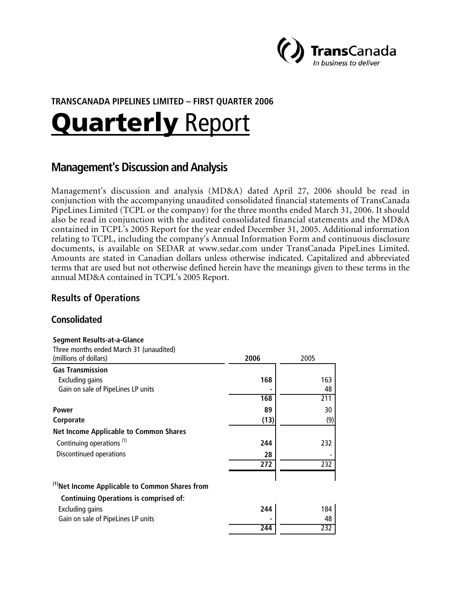

# **TRANSCANADA PIPELINES LIMITED – FIRST QUARTER 2006**

# **Quarterly Report**

# **Management's Discussion and Analysis**

Management's discussion and analysis (MD&A) dated April 27, 2006 should be read in conjunction with the accompanying unaudited consolidated financial statements of TransCanada PipeLines Limited (TCPL or the company) for the three months ended March 31, 2006. It should also be read in conjunction with the audited consolidated financial statements and the MD&A contained in TCPL's 2005 Report for the year ended December 31, 2005. Additional information relating to TCPL, including the company's Annual Information Form and continuous disclosure documents, is available on SEDAR at www.sedar.com under TransCanada PipeLines Limited. Amounts are stated in Canadian dollars unless otherwise indicated. Capitalized and abbreviated terms that are used but not otherwise defined herein have the meanings given to these terms in the annual MD&A contained in TCPL's 2005 Report.

# **Results of Operations**

# **Consolidated**

#### **Segment Results-at-a-Glance**

Three months ended March 31 (unaudited)

| (millions of dollars)                                      | 2006 | 2005 |
|------------------------------------------------------------|------|------|
| <b>Gas Transmission</b>                                    |      |      |
| Excluding gains                                            | 168  | 163  |
| Gain on sale of PipeLines LP units                         |      | 48   |
|                                                            | 168  | 211  |
| Power                                                      | 89   | 30   |
| Corporate                                                  | (13) | (9)  |
| <b>Net Income Applicable to Common Shares</b>              |      |      |
| Continuing operations <sup>(1)</sup>                       | 244  | 232  |
| Discontinued operations                                    | 28   |      |
|                                                            | 272  | 232  |
| <sup>(1)</sup> Net Income Applicable to Common Shares from |      |      |
| <b>Continuing Operations is comprised of:</b>              |      |      |
| Excluding gains                                            | 244  | 184  |
| Gain on sale of PipeLines LP units                         |      | 48   |

 **244** 232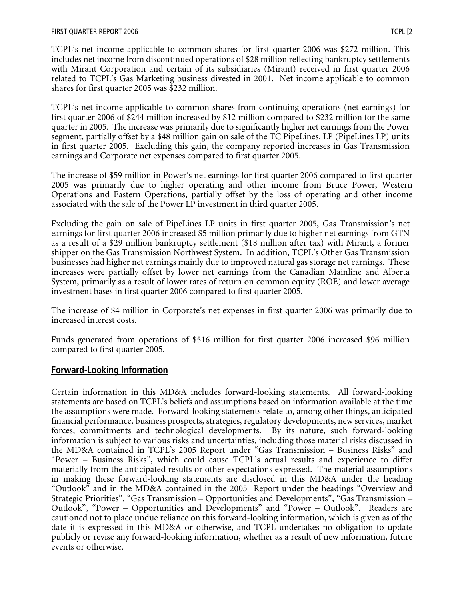TCPL's net income applicable to common shares for first quarter 2006 was \$272 million. This includes net income from discontinued operations of \$28 million reflecting bankruptcy settlements with Mirant Corporation and certain of its subsidiaries (Mirant) received in first quarter 2006 related to TCPL's Gas Marketing business divested in 2001. Net income applicable to common shares for first quarter 2005 was \$232 million.

TCPL's net income applicable to common shares from continuing operations (net earnings) for first quarter 2006 of \$244 million increased by \$12 million compared to \$232 million for the same quarter in 2005. The increase was primarily due to significantly higher net earnings from the Power segment, partially offset by a \$48 million gain on sale of the TC PipeLines, LP (PipeLines LP) units in first quarter 2005. Excluding this gain, the company reported increases in Gas Transmission earnings and Corporate net expenses compared to first quarter 2005.

The increase of \$59 million in Power's net earnings for first quarter 2006 compared to first quarter 2005 was primarily due to higher operating and other income from Bruce Power, Western Operations and Eastern Operations, partially offset by the loss of operating and other income associated with the sale of the Power LP investment in third quarter 2005.

Excluding the gain on sale of PipeLines LP units in first quarter 2005, Gas Transmission's net earnings for first quarter 2006 increased \$5 million primarily due to higher net earnings from GTN as a result of a \$29 million bankruptcy settlement (\$18 million after tax) with Mirant, a former shipper on the Gas Transmission Northwest System. In addition, TCPL's Other Gas Transmission businesses had higher net earnings mainly due to improved natural gas storage net earnings. These increases were partially offset by lower net earnings from the Canadian Mainline and Alberta System, primarily as a result of lower rates of return on common equity (ROE) and lower average investment bases in first quarter 2006 compared to first quarter 2005.

The increase of \$4 million in Corporate's net expenses in first quarter 2006 was primarily due to increased interest costs.

Funds generated from operations of \$516 million for first quarter 2006 increased \$96 million compared to first quarter 2005.

# **Forward-Looking Information**

Certain information in this MD&A includes forward-looking statements. All forward-looking statements are based on TCPL's beliefs and assumptions based on information available at the time the assumptions were made. Forward-looking statements relate to, among other things, anticipated financial performance, business prospects, strategies, regulatory developments, new services, market forces, commitments and technological developments. By its nature, such forward-looking information is subject to various risks and uncertainties, including those material risks discussed in the MD&A contained in TCPL's 2005 Report under "Gas Transmission – Business Risks" and "Power – Business Risks", which could cause TCPL's actual results and experience to differ materially from the anticipated results or other expectations expressed. The material assumptions in making these forward-looking statements are disclosed in this MD&A under the heading "Outlook" and in the MD&A contained in the 2005 Report under the headings "Overview and Strategic Priorities", "Gas Transmission – Opportunities and Developments", "Gas Transmission – Outlook", "Power – Opportunities and Developments" and "Power – Outlook". Readers are cautioned not to place undue reliance on this forward-looking information, which is given as of the date it is expressed in this MD&A or otherwise, and TCPL undertakes no obligation to update publicly or revise any forward-looking information, whether as a result of new information, future events or otherwise.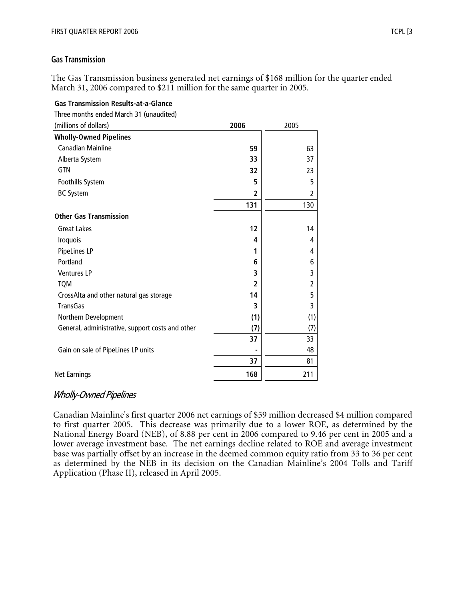## **Gas Transmission**

The Gas Transmission business generated net earnings of \$168 million for the quarter ended March 31, 2006 compared to \$211 million for the same quarter in 2005.

## **Gas Transmission Results-at-a-Glance**

Three months ended March 31 (unaudited)

| (millions of dollars)                            | 2006           | 2005           |
|--------------------------------------------------|----------------|----------------|
| <b>Wholly-Owned Pipelines</b>                    |                |                |
| <b>Canadian Mainline</b>                         | 59             | 63             |
| Alberta System                                   | 33             | 37             |
| <b>GTN</b>                                       | 32             | 23             |
| Foothills System                                 | 5              | 5              |
| <b>BC System</b>                                 | 2              | 2              |
|                                                  | 131            | 130            |
| <b>Other Gas Transmission</b>                    |                |                |
| <b>Great Lakes</b>                               | 12             | 14             |
| Iroquois                                         | 4              | 4              |
| PipeLines LP                                     | 1              | 4              |
| Portland                                         | 6              | 6              |
| <b>Ventures LP</b>                               | 3              | 3              |
| <b>TQM</b>                                       | $\overline{2}$ | $\overline{2}$ |
| CrossAlta and other natural gas storage          | 14             | 5              |
| <b>TransGas</b>                                  | 3              | 3              |
| Northern Development                             | (1)            | (1)            |
| General, administrative, support costs and other | (7)            | (7)            |
|                                                  | 37             | 33             |
| Gain on sale of PipeLines LP units               |                | 48             |
|                                                  | 37             | 81             |
| <b>Net Earnings</b>                              | 168            | 211            |

# Wholly-Owned Pipelines

Canadian Mainline's first quarter 2006 net earnings of \$59 million decreased \$4 million compared to first quarter 2005. This decrease was primarily due to a lower ROE, as determined by the National Energy Board (NEB), of 8.88 per cent in 2006 compared to 9.46 per cent in 2005 and a lower average investment base. The net earnings decline related to ROE and average investment base was partially offset by an increase in the deemed common equity ratio from 33 to 36 per cent as determined by the NEB in its decision on the Canadian Mainline's 2004 Tolls and Tariff Application (Phase II), released in April 2005.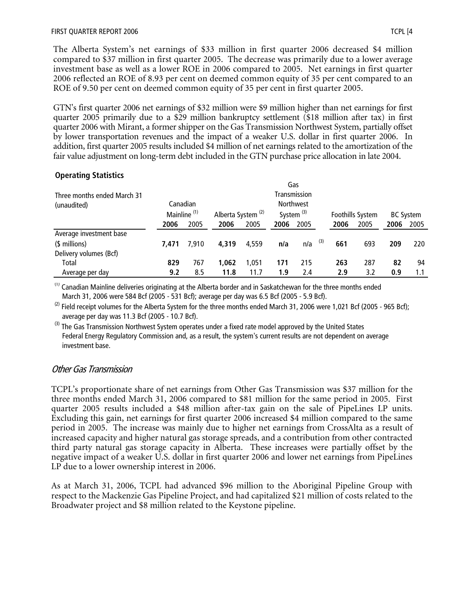The Alberta System's net earnings of \$33 million in first quarter 2006 decreased \$4 million compared to \$37 million in first quarter 2005. The decrease was primarily due to a lower average investment base as well as a lower ROE in 2006 compared to 2005. Net earnings in first quarter 2006 reflected an ROE of 8.93 per cent on deemed common equity of 35 per cent compared to an ROE of 9.50 per cent on deemed common equity of 35 per cent in first quarter 2005.

GTN's first quarter 2006 net earnings of \$32 million were \$9 million higher than net earnings for first quarter 2005 primarily due to a \$29 million bankruptcy settlement (\$18 million after tax) in first quarter 2006 with Mirant, a former shipper on the Gas Transmission Northwest System, partially offset by lower transportation revenues and the impact of a weaker U.S. dollar in first quarter 2006. In addition, first quarter 2005 results included \$4 million of net earnings related to the amortization of the fair value adjustment on long-term debt included in the GTN purchase price allocation in late 2004.

# **Operating Statistics**

|                             |                         |          |                               |       |      | Gas              |     |      |                  |      |                  |
|-----------------------------|-------------------------|----------|-------------------------------|-------|------|------------------|-----|------|------------------|------|------------------|
| Three months ended March 31 |                         |          |                               |       |      | Transmission     |     |      |                  |      |                  |
| (unaudited)                 |                         | Canadian |                               |       |      | <b>Northwest</b> |     |      |                  |      |                  |
|                             | Mainline <sup>(1)</sup> |          | Alberta System <sup>(2)</sup> |       |      | System $(3)$     |     |      | Foothills System |      | <b>BC System</b> |
|                             | 2006                    | 2005     | 2006                          | 2005  | 2006 | 2005             |     | 2006 | 2005             | 2006 | 2005             |
| Average investment base     |                         |          |                               |       |      |                  |     |      |                  |      |                  |
| (\$ millions)               | 7.471                   | 7.910    | 4.319                         | 4,559 | n/a  | n/a              | (3) | 661  | 693              | 209  | 220              |
| Delivery volumes (Bcf)      |                         |          |                               |       |      |                  |     |      |                  |      |                  |
| Total                       | 829                     | 767      | 1,062                         | 1.051 | 171  | 215              |     | 263  | 287              | 82   | 94               |
| Average per day             | 9.2                     | 8.5      | 11.8                          | 11.7  | 1.9  | 2.4              |     | 2.9  | 3.2              | 0.9  | 1.1              |

 $<sup>(1)</sup>$  Canadian Mainline deliveries originating at the Alberta border and in Saskatchewan for the three months ended</sup> March 31, 2006 were 584 Bcf (2005 - 531 Bcf); average per day was 6.5 Bcf (2005 - 5.9 Bcf).

 $^{(2)}$  Field receipt volumes for the Alberta System for the three months ended March 31, 2006 were 1,021 Bcf (2005 - 965 Bcf); average per day was 11.3 Bcf (2005 - 10.7 Bcf).

<sup>(3)</sup> The Gas Transmission Northwest System operates under a fixed rate model approved by the United States Federal Energy Regulatory Commission and, as a result, the system's current results are not dependent on average investment base.

# Other Gas Transmission

TCPL's proportionate share of net earnings from Other Gas Transmission was \$37 million for the three months ended March 31, 2006 compared to \$81 million for the same period in 2005. First quarter 2005 results included a \$48 million after-tax gain on the sale of PipeLines LP units. Excluding this gain, net earnings for first quarter 2006 increased \$4 million compared to the same period in 2005. The increase was mainly due to higher net earnings from CrossAlta as a result of increased capacity and higher natural gas storage spreads, and a contribution from other contracted third party natural gas storage capacity in Alberta. These increases were partially offset by the negative impact of a weaker U.S. dollar in first quarter 2006 and lower net earnings from PipeLines LP due to a lower ownership interest in 2006.

As at March 31, 2006, TCPL had advanced \$96 million to the Aboriginal Pipeline Group with respect to the Mackenzie Gas Pipeline Project, and had capitalized \$21 million of costs related to the Broadwater project and \$8 million related to the Keystone pipeline.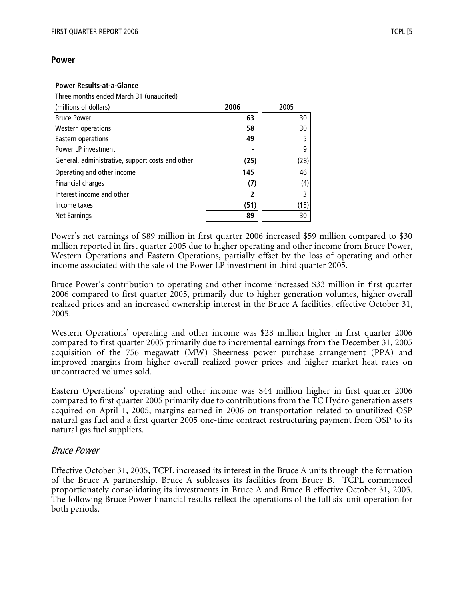#### **Power**

#### **Power Results-at-a-Glance**

Three months ended March 31 (unaudited)

| (millions of dollars)                            | 2006 | 2005 |
|--------------------------------------------------|------|------|
| <b>Bruce Power</b>                               | 63   | 30   |
| Western operations                               | 58   | 30   |
| Eastern operations                               | 49   |      |
| Power LP investment                              | ۰    |      |
| General, administrative, support costs and other | (25) | (28) |
| Operating and other income                       | 145  | 46   |
| Financial charges                                | (7)  | (4)  |
| Interest income and other                        | 2    |      |
| Income taxes                                     | (51) | (15) |
| Net Earnings                                     | 89   | 30   |

Power's net earnings of \$89 million in first quarter 2006 increased \$59 million compared to \$30 million reported in first quarter 2005 due to higher operating and other income from Bruce Power, Western Operations and Eastern Operations, partially offset by the loss of operating and other income associated with the sale of the Power LP investment in third quarter 2005.

Bruce Power's contribution to operating and other income increased \$33 million in first quarter 2006 compared to first quarter 2005, primarily due to higher generation volumes, higher overall realized prices and an increased ownership interest in the Bruce A facilities, effective October 31, 2005.

Western Operations' operating and other income was \$28 million higher in first quarter 2006 compared to first quarter 2005 primarily due to incremental earnings from the December 31, 2005 acquisition of the 756 megawatt (MW) Sheerness power purchase arrangement (PPA) and improved margins from higher overall realized power prices and higher market heat rates on uncontracted volumes sold.

Eastern Operations' operating and other income was \$44 million higher in first quarter 2006 compared to first quarter 2005 primarily due to contributions from the TC Hydro generation assets acquired on April 1, 2005, margins earned in 2006 on transportation related to unutilized OSP natural gas fuel and a first quarter 2005 one-time contract restructuring payment from OSP to its natural gas fuel suppliers.

## Bruce Power

Effective October 31, 2005, TCPL increased its interest in the Bruce A units through the formation of the Bruce A partnership. Bruce A subleases its facilities from Bruce B. TCPL commenced proportionately consolidating its investments in Bruce A and Bruce B effective October 31, 2005. The following Bruce Power financial results reflect the operations of the full six-unit operation for both periods.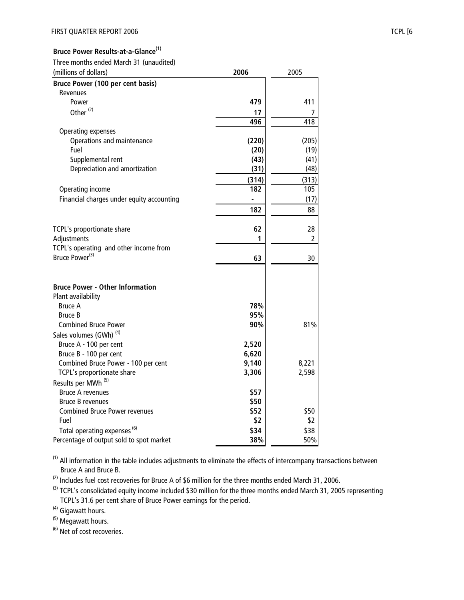#### **Bruce Power Results-at-a-Glance(1)**

Three months ended March 31 (unaudited)

| (millions of dollars)                     | 2006  | 2005  |
|-------------------------------------------|-------|-------|
| Bruce Power (100 per cent basis)          |       |       |
| <b>Revenues</b>                           |       |       |
| Power                                     | 479   | 411   |
| Other <sup>(2)</sup>                      | 17    | 7     |
|                                           | 496   | 418   |
| Operating expenses                        |       |       |
| Operations and maintenance                | (220) | (205) |
| Fuel                                      | (20)  | (19)  |
| Supplemental rent                         | (43)  | (41)  |
| Depreciation and amortization             | (31)  | (48)  |
|                                           | (314) | (313) |
| Operating income                          | 182   | 105   |
| Financial charges under equity accounting | ÷,    | (17)  |
|                                           | 182   | 88    |
|                                           |       |       |
| TCPL's proportionate share                | 62    | 28    |
| Adjustments                               | 1     | 2     |
| TCPL's operating and other income from    |       |       |
| Bruce Power <sup>(3)</sup>                | 63    | 30    |
|                                           |       |       |
|                                           |       |       |
| <b>Bruce Power - Other Information</b>    |       |       |
| Plant availability                        |       |       |
| <b>Bruce A</b>                            | 78%   |       |
| <b>Bruce B</b>                            | 95%   |       |
| <b>Combined Bruce Power</b>               | 90%   | 81%   |
| Sales volumes (GWh) <sup>(4)</sup>        |       |       |
| Bruce A - 100 per cent                    | 2,520 |       |
| Bruce B - 100 per cent                    | 6,620 |       |
| Combined Bruce Power - 100 per cent       | 9,140 | 8,221 |
| TCPL's proportionate share                | 3,306 | 2,598 |
| Results per MWh <sup>(5)</sup>            |       |       |
| <b>Bruce A revenues</b>                   | \$57  |       |
| <b>Bruce B revenues</b>                   | \$50  |       |
| <b>Combined Bruce Power revenues</b>      | \$52  | \$50  |
| Fuel                                      | \$2   | \$2   |
| Total operating expenses <sup>(6)</sup>   | \$34  | \$38  |
| Percentage of output sold to spot market  | 38%   | 50%   |

 $(1)$  All information in the table includes adjustments to eliminate the effects of intercompany transactions between Bruce A and Bruce B.

 $^{(2)}$  Includes fuel cost recoveries for Bruce A of \$6 million for the three months ended March 31, 2006.

<sup>(3)</sup> TCPL's consolidated equity income included \$30 million for the three months ended March 31, 2005 representing TCPL's 31.6 per cent share of Bruce Power earnings for the period.

<sup>(4)</sup> Gigawatt hours.

(5) Megawatt hours.

(6) Net of cost recoveries.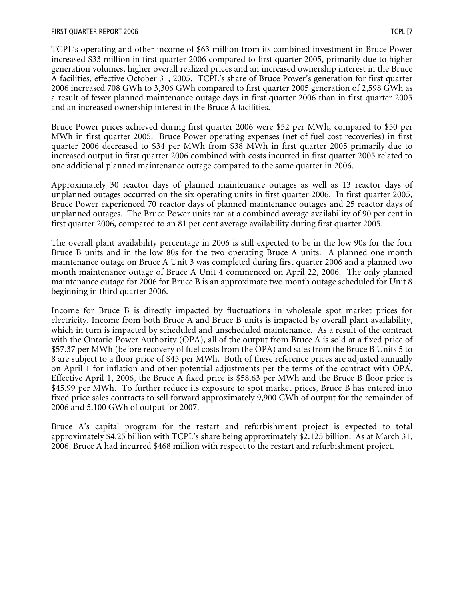TCPL's operating and other income of \$63 million from its combined investment in Bruce Power increased \$33 million in first quarter 2006 compared to first quarter 2005, primarily due to higher generation volumes, higher overall realized prices and an increased ownership interest in the Bruce A facilities, effective October 31, 2005. TCPL's share of Bruce Power's generation for first quarter 2006 increased 708 GWh to 3,306 GWh compared to first quarter 2005 generation of 2,598 GWh as a result of fewer planned maintenance outage days in first quarter 2006 than in first quarter 2005 and an increased ownership interest in the Bruce A facilities.

Bruce Power prices achieved during first quarter 2006 were \$52 per MWh, compared to \$50 per MWh in first quarter 2005. Bruce Power operating expenses (net of fuel cost recoveries) in first quarter 2006 decreased to \$34 per MWh from \$38 MWh in first quarter 2005 primarily due to increased output in first quarter 2006 combined with costs incurred in first quarter 2005 related to one additional planned maintenance outage compared to the same quarter in 2006.

Approximately 30 reactor days of planned maintenance outages as well as 13 reactor days of unplanned outages occurred on the six operating units in first quarter 2006. In first quarter 2005, Bruce Power experienced 70 reactor days of planned maintenance outages and 25 reactor days of unplanned outages. The Bruce Power units ran at a combined average availability of 90 per cent in first quarter 2006, compared to an 81 per cent average availability during first quarter 2005.

The overall plant availability percentage in 2006 is still expected to be in the low 90s for the four Bruce B units and in the low 80s for the two operating Bruce A units. A planned one month maintenance outage on Bruce A Unit 3 was completed during first quarter 2006 and a planned two month maintenance outage of Bruce A Unit 4 commenced on April 22, 2006. The only planned maintenance outage for 2006 for Bruce B is an approximate two month outage scheduled for Unit 8 beginning in third quarter 2006.

Income for Bruce B is directly impacted by fluctuations in wholesale spot market prices for electricity. Income from both Bruce A and Bruce B units is impacted by overall plant availability, which in turn is impacted by scheduled and unscheduled maintenance. As a result of the contract with the Ontario Power Authority (OPA), all of the output from Bruce A is sold at a fixed price of \$57.37 per MWh (before recovery of fuel costs from the OPA) and sales from the Bruce B Units 5 to 8 are subject to a floor price of \$45 per MWh. Both of these reference prices are adjusted annually on April 1 for inflation and other potential adjustments per the terms of the contract with OPA. Effective April 1, 2006, the Bruce A fixed price is \$58.63 per MWh and the Bruce B floor price is \$45.99 per MWh. To further reduce its exposure to spot market prices, Bruce B has entered into fixed price sales contracts to sell forward approximately 9,900 GWh of output for the remainder of 2006 and 5,100 GWh of output for 2007.

Bruce A's capital program for the restart and refurbishment project is expected to total approximately \$4.25 billion with TCPL's share being approximately \$2.125 billion. As at March 31, 2006, Bruce A had incurred \$468 million with respect to the restart and refurbishment project.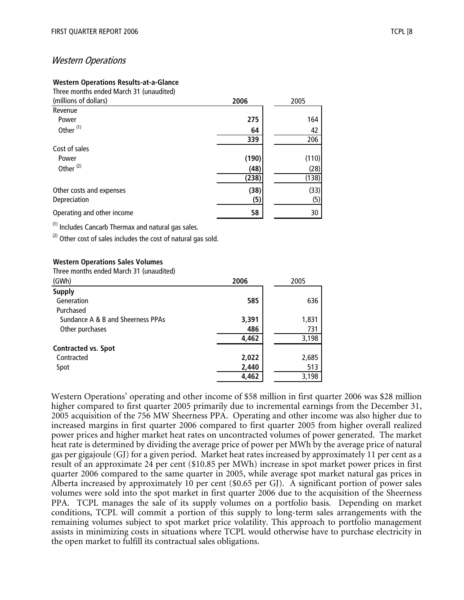## Western Operations

#### **Western Operations Results-at-a-Glance**

Three months ended March 31 (unaudited)

| (millions of dollars)      | 2006  | 2005  |
|----------------------------|-------|-------|
| Revenue                    |       |       |
| Power                      | 275   | 164   |
| Other <sup>(1)</sup>       | 64    | 42    |
|                            | 339   | 206   |
| Cost of sales              |       |       |
| Power                      | (190) | (110) |
| Other <sup>(2)</sup>       | (48)  | (28)  |
|                            | (238) | (138) |
| Other costs and expenses   | (38)  | (33)  |
| Depreciation               | (5)   | (5)   |
| Operating and other income | 58    | 30    |

(1) Includes Cancarb Thermax and natural gas sales.

 $(2)$  Other cost of sales includes the cost of natural gas sold.

#### **Western Operations Sales Volumes**

Three months ended March 31 (unaudited)

| (GWh)                             | 2006  | 2005  |
|-----------------------------------|-------|-------|
| <b>Supply</b>                     |       |       |
| Generation                        | 585   | 636   |
| Purchased                         |       |       |
| Sundance A & B and Sheerness PPAs | 3,391 | 1,831 |
| Other purchases                   | 486   | 731   |
|                                   | 4,462 | 3,198 |
| <b>Contracted vs. Spot</b>        |       |       |
| Contracted                        | 2,022 | 2,685 |
| Spot                              | 2,440 | 513   |
|                                   | 4,462 | 3,198 |

Western Operations' operating and other income of \$58 million in first quarter 2006 was \$28 million higher compared to first quarter 2005 primarily due to incremental earnings from the December 31, 2005 acquisition of the 756 MW Sheerness PPA. Operating and other income was also higher due to increased margins in first quarter 2006 compared to first quarter 2005 from higher overall realized power prices and higher market heat rates on uncontracted volumes of power generated. The market heat rate is determined by dividing the average price of power per MWh by the average price of natural gas per gigajoule (GJ) for a given period. Market heat rates increased by approximately 11 per cent as a result of an approximate 24 per cent (\$10.85 per MWh) increase in spot market power prices in first quarter 2006 compared to the same quarter in 2005, while average spot market natural gas prices in Alberta increased by approximately 10 per cent (\$0.65 per GJ). A significant portion of power sales volumes were sold into the spot market in first quarter 2006 due to the acquisition of the Sheerness PPA. TCPL manages the sale of its supply volumes on a portfolio basis. Depending on market conditions, TCPL will commit a portion of this supply to long-term sales arrangements with the remaining volumes subject to spot market price volatility. This approach to portfolio management assists in minimizing costs in situations where TCPL would otherwise have to purchase electricity in the open market to fulfill its contractual sales obligations.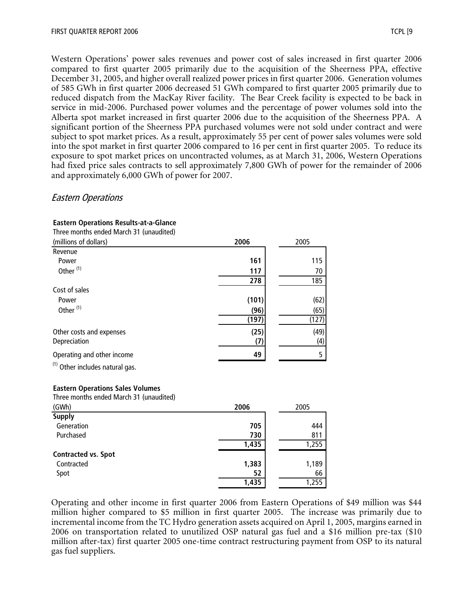Western Operations' power sales revenues and power cost of sales increased in first quarter 2006 compared to first quarter 2005 primarily due to the acquisition of the Sheerness PPA, effective December 31, 2005, and higher overall realized power prices in first quarter 2006. Generation volumes of 585 GWh in first quarter 2006 decreased 51 GWh compared to first quarter 2005 primarily due to reduced dispatch from the MacKay River facility. The Bear Creek facility is expected to be back in service in mid-2006. Purchased power volumes and the percentage of power volumes sold into the Alberta spot market increased in first quarter 2006 due to the acquisition of the Sheerness PPA. A significant portion of the Sheerness PPA purchased volumes were not sold under contract and were subject to spot market prices. As a result, approximately 55 per cent of power sales volumes were sold into the spot market in first quarter 2006 compared to 16 per cent in first quarter 2005. To reduce its exposure to spot market prices on uncontracted volumes, as at March 31, 2006, Western Operations had fixed price sales contracts to sell approximately 7,800 GWh of power for the remainder of 2006 and approximately 6,000 GWh of power for 2007.

## Eastern Operations

| Three months ended March 31 (unaudited)    |       |       |
|--------------------------------------------|-------|-------|
| (millions of dollars)                      | 2006  | 2005  |
| Revenue                                    |       |       |
| Power                                      | 161   | 115   |
| Other <sup>(1)</sup>                       | 117   | 70    |
|                                            | 278   | 185   |
| Cost of sales                              |       |       |
| Power                                      | (101) | (62)  |
| Other <sup>(1)</sup>                       | (96)  | (65)  |
|                                            | (197) | (127) |
| Other costs and expenses                   | (25)  | (49)  |
| Depreciation                               | (7)   | (4)   |
| Operating and other income                 | 49    | 5     |
|                                            |       |       |
| <sup>(1)</sup> Other includes natural gas. |       |       |
| <b>Eastern Operations Sales Volumes</b>    |       |       |
| Three months ended March 31 (unaudited)    |       |       |
| (GWh)                                      | 2006  | 2005  |
| <b>Supply</b>                              |       |       |
| Generation                                 | 705   | 444   |
| Purchased                                  | 730   | 811   |
|                                            | 1,435 | 1,255 |
| <b>Contracted vs. Spot</b>                 |       |       |
| Contracted                                 | 1,383 | 1,189 |
| Spot                                       | 52    | 66    |
|                                            | 1,435 | 1,255 |

#### **Eastern Operations Results-at-a-Glance**

Operating and other income in first quarter 2006 from Eastern Operations of \$49 million was \$44 million higher compared to \$5 million in first quarter 2005. The increase was primarily due to incremental income from the TC Hydro generation assets acquired on April 1, 2005, margins earned in 2006 on transportation related to unutilized OSP natural gas fuel and a \$16 million pre-tax (\$10 million after-tax) first quarter 2005 one-time contract restructuring payment from OSP to its natural gas fuel suppliers.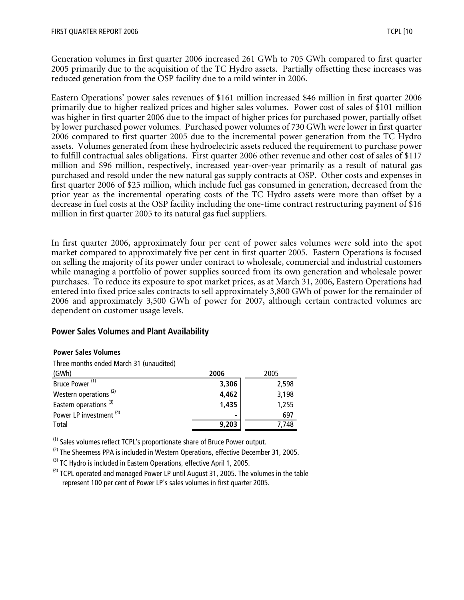Generation volumes in first quarter 2006 increased 261 GWh to 705 GWh compared to first quarter 2005 primarily due to the acquisition of the TC Hydro assets. Partially offsetting these increases was reduced generation from the OSP facility due to a mild winter in 2006.

Eastern Operations' power sales revenues of \$161 million increased \$46 million in first quarter 2006 primarily due to higher realized prices and higher sales volumes. Power cost of sales of \$101 million was higher in first quarter 2006 due to the impact of higher prices for purchased power, partially offset by lower purchased power volumes. Purchased power volumes of 730 GWh were lower in first quarter 2006 compared to first quarter 2005 due to the incremental power generation from the TC Hydro assets. Volumes generated from these hydroelectric assets reduced the requirement to purchase power to fulfill contractual sales obligations. First quarter 2006 other revenue and other cost of sales of \$117 million and \$96 million, respectively, increased year-over-year primarily as a result of natural gas purchased and resold under the new natural gas supply contracts at OSP. Other costs and expenses in first quarter 2006 of \$25 million, which include fuel gas consumed in generation, decreased from the prior year as the incremental operating costs of the TC Hydro assets were more than offset by a decrease in fuel costs at the OSP facility including the one-time contract restructuring payment of \$16 million in first quarter 2005 to its natural gas fuel suppliers.

In first quarter 2006, approximately four per cent of power sales volumes were sold into the spot market compared to approximately five per cent in first quarter 2005. Eastern Operations is focused on selling the majority of its power under contract to wholesale, commercial and industrial customers while managing a portfolio of power supplies sourced from its own generation and wholesale power purchases. To reduce its exposure to spot market prices, as at March 31, 2006, Eastern Operations had entered into fixed price sales contracts to sell approximately 3,800 GWh of power for the remainder of 2006 and approximately 3,500 GWh of power for 2007, although certain contracted volumes are dependent on customer usage levels.

## **Power Sales Volumes and Plant Availability**

#### **Power Sales Volumes**

Three months ended March 31 (unaudited)

| (GWh)                              | 2006  | 2005  |
|------------------------------------|-------|-------|
| Bruce Power <sup>(1)</sup>         | 3,306 | 2,598 |
| Western operations <sup>(2)</sup>  | 4,462 | 3,198 |
| Eastern operations <sup>(3)</sup>  | 1,435 | 1,255 |
| Power LP investment <sup>(4)</sup> | ۰     | 697   |
| Total                              | 9,203 | 7,748 |

(1) Sales volumes reflect TCPL's proportionate share of Bruce Power output.

 $(2)$  The Sheerness PPA is included in Western Operations, effective December 31, 2005.

<sup>(3)</sup> TC Hydro is included in Eastern Operations, effective April 1, 2005.

 $<sup>(4)</sup>$  TCPL operated and managed Power LP until August 31, 2005. The volumes in the table</sup> represent 100 per cent of Power LP's sales volumes in first quarter 2005.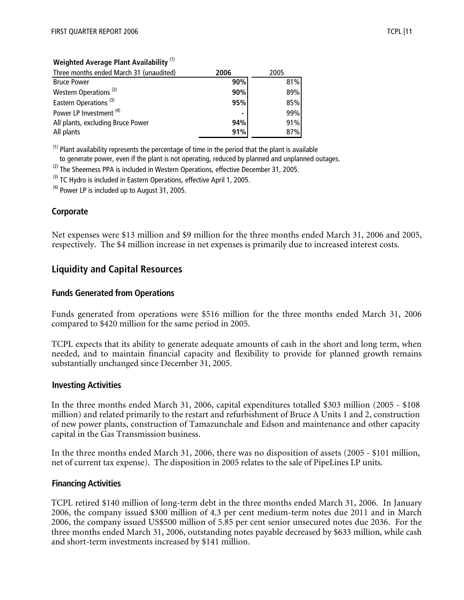## **Weighted Average Plant Availability** (1)

| Three months ended March 31 (unaudited) | 2006           | 2005 |
|-----------------------------------------|----------------|------|
| <b>Bruce Power</b>                      | 90%            | 81%  |
| Western Operations <sup>(2)</sup>       | 90%            | 89%  |
| Eastern Operations <sup>(3)</sup>       | 95%            | 85%  |
| Power LP Investment <sup>(4)</sup>      | $\blacksquare$ | 99%  |
| All plants, excluding Bruce Power       | 94%            | 91%  |
| All plants                              | 91%            | 87%  |

 $<sup>(1)</sup>$  Plant availability represents the percentage of time in the period that the plant is available</sup> to generate power, even if the plant is not operating, reduced by planned and unplanned outages.

 $(2)$  The Sheerness PPA is included in Western Operations, effective December 31, 2005.

<sup>(3)</sup> TC Hydro is included in Eastern Operations, effective April 1, 2005.

 $(4)$  Power LP is included up to August 31, 2005.

## **Corporate**

Net expenses were \$13 million and \$9 million for the three months ended March 31, 2006 and 2005, respectively. The \$4 million increase in net expenses is primarily due to increased interest costs.

# **Liquidity and Capital Resources**

## **Funds Generated from Operations**

Funds generated from operations were \$516 million for the three months ended March 31, 2006 compared to \$420 million for the same period in 2005.

TCPL expects that its ability to generate adequate amounts of cash in the short and long term, when needed, and to maintain financial capacity and flexibility to provide for planned growth remains substantially unchanged since December 31, 2005.

## **Investing Activities**

In the three months ended March 31, 2006, capital expenditures totalled \$303 million (2005 - \$108 million) and related primarily to the restart and refurbishment of Bruce A Units 1 and 2, construction of new power plants, construction of Tamazunchale and Edson and maintenance and other capacity capital in the Gas Transmission business.

In the three months ended March 31, 2006, there was no disposition of assets (2005 - \$101 million, net of current tax expense). The disposition in 2005 relates to the sale of PipeLines LP units.

## **Financing Activities**

TCPL retired \$140 million of long-term debt in the three months ended March 31, 2006. In January 2006, the company issued \$300 million of 4.3 per cent medium-term notes due 2011 and in March 2006, the company issued US\$500 million of 5.85 per cent senior unsecured notes due 2036. For the three months ended March 31, 2006, outstanding notes payable decreased by \$633 million, while cash and short-term investments increased by \$141 million.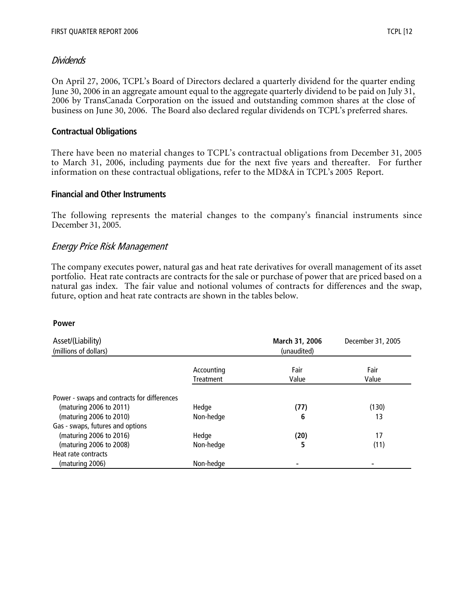# Dividends

On April 27, 2006, TCPL's Board of Directors declared a quarterly dividend for the quarter ending June 30, 2006 in an aggregate amount equal to the aggregate quarterly dividend to be paid on July 31, 2006 by TransCanada Corporation on the issued and outstanding common shares at the close of business on June 30, 2006. The Board also declared regular dividends on TCPL's preferred shares.

# **Contractual Obligations**

There have been no material changes to TCPL's contractual obligations from December 31, 2005 to March 31, 2006, including payments due for the next five years and thereafter. For further information on these contractual obligations, refer to the MD&A in TCPL's 2005 Report.

## **Financial and Other Instruments**

The following represents the material changes to the company's financial instruments since December 31, 2005.

# Energy Price Risk Management

The company executes power, natural gas and heat rate derivatives for overall management of its asset portfolio. Heat rate contracts are contracts for the sale or purchase of power that are priced based on a natural gas index. The fair value and notional volumes of contracts for differences and the swap, future, option and heat rate contracts are shown in the tables below.

## **Power**

| Asset/(Liability)                           |                         | March 31, 2006 | December 31, 2005 |
|---------------------------------------------|-------------------------|----------------|-------------------|
| (millions of dollars)                       |                         | (unaudited)    |                   |
|                                             | Accounting<br>Treatment | Fair<br>Value  | Fair<br>Value     |
| Power - swaps and contracts for differences |                         |                |                   |
| (maturing 2006 to 2011)                     | Hedge                   | (77)           | (130)             |
| (maturing 2006 to 2010)                     | Non-hedge               | 6              | 13                |
| Gas - swaps, futures and options            |                         |                |                   |
| (maturing 2006 to 2016)                     | Hedge                   | (20)           | 17                |
| (maturing 2006 to 2008)                     | Non-hedge               | 5              | (11)              |
| Heat rate contracts                         |                         |                |                   |
| (maturing 2006)                             | Non-hedge               |                |                   |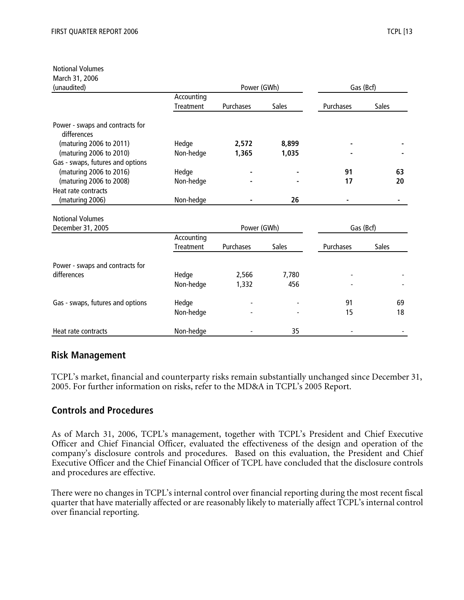Notional Volumes

| March 31, 2006                                 |                         |             |              |           |              |  |
|------------------------------------------------|-------------------------|-------------|--------------|-----------|--------------|--|
| (unaudited)                                    |                         | Power (GWh) |              | Gas (Bcf) |              |  |
|                                                | Accounting              |             |              |           |              |  |
|                                                | Treatment               | Purchases   | <b>Sales</b> | Purchases | Sales        |  |
| Power - swaps and contracts for<br>differences |                         |             |              |           |              |  |
| (maturing 2006 to 2011)                        | Hedge                   | 2,572       | 8,899        |           |              |  |
| (maturing 2006 to 2010)                        | Non-hedge               | 1,365       | 1,035        |           |              |  |
| Gas - swaps, futures and options               |                         |             |              |           |              |  |
| (maturing 2006 to 2016)                        | Hedge                   |             |              | 91        | 63           |  |
| (maturing 2006 to 2008)                        | Non-hedge               |             |              | 17        | 20           |  |
| Heat rate contracts                            |                         |             |              |           |              |  |
| (maturing 2006)                                | Non-hedge               |             | 26           |           |              |  |
|                                                |                         |             |              |           |              |  |
| <b>Notional Volumes</b>                        |                         |             |              |           |              |  |
| December 31, 2005                              |                         | Power (GWh) |              |           | Gas (Bcf)    |  |
|                                                | Accounting<br>Treatment | Purchases   | <b>Sales</b> | Purchases | <b>Sales</b> |  |
| Power - swaps and contracts for                |                         |             |              |           |              |  |
| differences                                    | Hedge                   | 2,566       | 7,780        |           |              |  |
|                                                | Non-hedge               | 1,332       | 456          |           |              |  |
| Gas - swaps, futures and options               | Hedge                   |             |              | 91        | 69           |  |
|                                                | Non-hedge               |             |              | 15        | 18           |  |
| Heat rate contracts                            | Non-hedge               |             | 35           |           |              |  |

# **Risk Management**

TCPL's market, financial and counterparty risks remain substantially unchanged since December 31, 2005. For further information on risks, refer to the MD&A in TCPL's 2005 Report.

# **Controls and Procedures**

As of March 31, 2006, TCPL's management, together with TCPL's President and Chief Executive Officer and Chief Financial Officer, evaluated the effectiveness of the design and operation of the company's disclosure controls and procedures. Based on this evaluation, the President and Chief Executive Officer and the Chief Financial Officer of TCPL have concluded that the disclosure controls and procedures are effective.

There were no changes in TCPL's internal control over financial reporting during the most recent fiscal quarter that have materially affected or are reasonably likely to materially affect TCPL's internal control over financial reporting.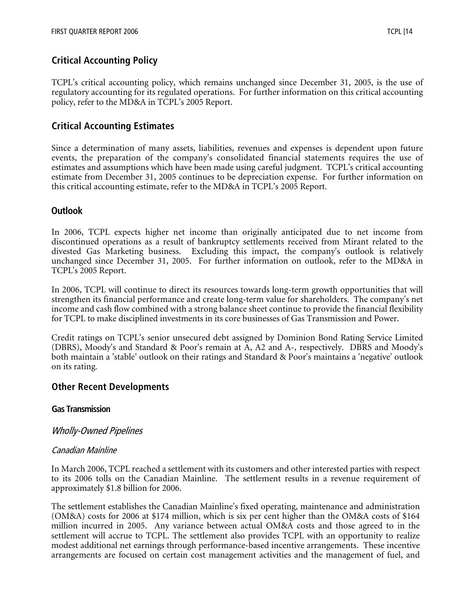# **Critical Accounting Policy**

TCPL's critical accounting policy, which remains unchanged since December 31, 2005, is the use of regulatory accounting for its regulated operations. For further information on this critical accounting policy, refer to the MD&A in TCPL's 2005 Report.

# **Critical Accounting Estimates**

Since a determination of many assets, liabilities, revenues and expenses is dependent upon future events, the preparation of the company's consolidated financial statements requires the use of estimates and assumptions which have been made using careful judgment. TCPL's critical accounting estimate from December 31, 2005 continues to be depreciation expense. For further information on this critical accounting estimate, refer to the MD&A in TCPL's 2005 Report.

# **Outlook**

In 2006, TCPL expects higher net income than originally anticipated due to net income from discontinued operations as a result of bankruptcy settlements received from Mirant related to the divested Gas Marketing business. Excluding this impact, the company's outlook is relatively unchanged since December 31, 2005. For further information on outlook, refer to the MD&A in TCPL's 2005 Report.

In 2006, TCPL will continue to direct its resources towards long-term growth opportunities that will strengthen its financial performance and create long-term value for shareholders. The company's net income and cash flow combined with a strong balance sheet continue to provide the financial flexibility for TCPL to make disciplined investments in its core businesses of Gas Transmission and Power.

Credit ratings on TCPL's senior unsecured debt assigned by Dominion Bond Rating Service Limited (DBRS), Moody's and Standard & Poor's remain at A, A2 and A-, respectively. DBRS and Moody's both maintain a 'stable' outlook on their ratings and Standard & Poor's maintains a 'negative' outlook on its rating.

# **Other Recent Developments**

# **Gas Transmission**

# Wholly-Owned Pipelines

# Canadian Mainline

In March 2006, TCPL reached a settlement with its customers and other interested parties with respect to its 2006 tolls on the Canadian Mainline. The settlement results in a revenue requirement of approximately \$1.8 billion for 2006.

The settlement establishes the Canadian Mainline's fixed operating, maintenance and administration (OM&A) costs for 2006 at \$174 million, which is six per cent higher than the OM&A costs of \$164 million incurred in 2005. Any variance between actual OM&A costs and those agreed to in the settlement will accrue to TCPL. The settlement also provides TCPL with an opportunity to realize modest additional net earnings through performance-based incentive arrangements. These incentive arrangements are focused on certain cost management activities and the management of fuel, and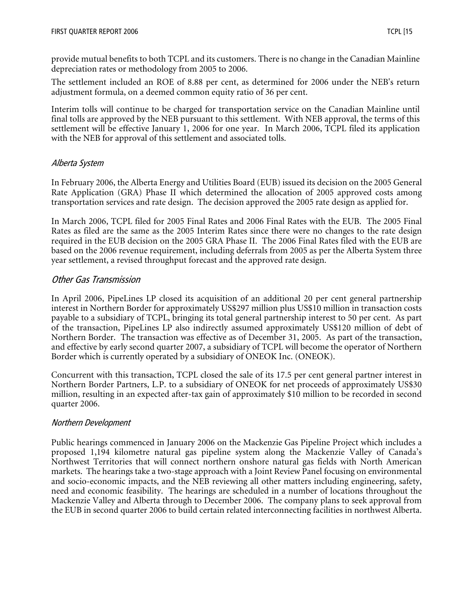provide mutual benefits to both TCPL and its customers. There is no change in the Canadian Mainline depreciation rates or methodology from 2005 to 2006.

The settlement included an ROE of 8.88 per cent, as determined for 2006 under the NEB's return adjustment formula, on a deemed common equity ratio of 36 per cent.

Interim tolls will continue to be charged for transportation service on the Canadian Mainline until final tolls are approved by the NEB pursuant to this settlement. With NEB approval, the terms of this settlement will be effective January 1, 2006 for one year. In March 2006, TCPL filed its application with the NEB for approval of this settlement and associated tolls.

# Alberta System

In February 2006, the Alberta Energy and Utilities Board (EUB) issued its decision on the 2005 General Rate Application (GRA) Phase II which determined the allocation of 2005 approved costs among transportation services and rate design. The decision approved the 2005 rate design as applied for.

In March 2006, TCPL filed for 2005 Final Rates and 2006 Final Rates with the EUB. The 2005 Final Rates as filed are the same as the 2005 Interim Rates since there were no changes to the rate design required in the EUB decision on the 2005 GRA Phase II. The 2006 Final Rates filed with the EUB are based on the 2006 revenue requirement, including deferrals from 2005 as per the Alberta System three year settlement, a revised throughput forecast and the approved rate design.

# Other Gas Transmission

In April 2006, PipeLines LP closed its acquisition of an additional 20 per cent general partnership interest in Northern Border for approximately US\$297 million plus US\$10 million in transaction costs payable to a subsidiary of TCPL, bringing its total general partnership interest to 50 per cent. As part of the transaction, PipeLines LP also indirectly assumed approximately US\$120 million of debt of Northern Border. The transaction was effective as of December 31, 2005. As part of the transaction, and effective by early second quarter 2007, a subsidiary of TCPL will become the operator of Northern Border which is currently operated by a subsidiary of ONEOK Inc. (ONEOK).

Concurrent with this transaction, TCPL closed the sale of its 17.5 per cent general partner interest in Northern Border Partners, L.P. to a subsidiary of ONEOK for net proceeds of approximately US\$30 million, resulting in an expected after-tax gain of approximately \$10 million to be recorded in second quarter 2006.

# Northern Development

Public hearings commenced in January 2006 on the Mackenzie Gas Pipeline Project which includes a proposed 1,194 kilometre natural gas pipeline system along the Mackenzie Valley of Canada's Northwest Territories that will connect northern onshore natural gas fields with North American markets. The hearings take a two-stage approach with a Joint Review Panel focusing on environmental and socio-economic impacts, and the NEB reviewing all other matters including engineering, safety, need and economic feasibility. The hearings are scheduled in a number of locations throughout the Mackenzie Valley and Alberta through to December 2006. The company plans to seek approval from the EUB in second quarter 2006 to build certain related interconnecting facilities in northwest Alberta.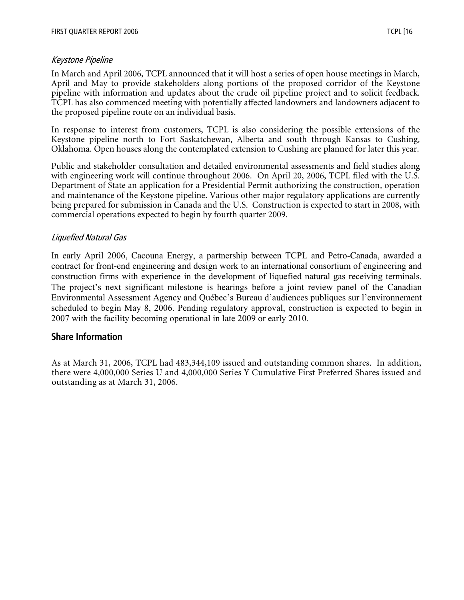## Keystone Pipeline

In March and April 2006, TCPL announced that it will host a series of open house meetings in March, April and May to provide stakeholders along portions of the proposed corridor of the Keystone pipeline with information and updates about the crude oil pipeline project and to solicit feedback. TCPL has also commenced meeting with potentially affected landowners and landowners adjacent to the proposed pipeline route on an individual basis.

In response to interest from customers, TCPL is also considering the possible extensions of the Keystone pipeline north to Fort Saskatchewan, Alberta and south through Kansas to Cushing, Oklahoma. Open houses along the contemplated extension to Cushing are planned for later this year.

Public and stakeholder consultation and detailed environmental assessments and field studies along with engineering work will continue throughout 2006. On April 20, 2006, TCPL filed with the U.S. Department of State an application for a Presidential Permit authorizing the construction, operation and maintenance of the Keystone pipeline. Various other major regulatory applications are currently being prepared for submission in Canada and the U.S. Construction is expected to start in 2008, with commercial operations expected to begin by fourth quarter 2009.

# Liquefied Natural Gas

In early April 2006, Cacouna Energy, a partnership between TCPL and Petro-Canada, awarded a contract for front-end engineering and design work to an international consortium of engineering and construction firms with experience in the development of liquefied natural gas receiving terminals. The project's next significant milestone is hearings before a joint review panel of the Canadian Environmental Assessment Agency and Québec's Bureau d'audiences publiques sur l'environnement scheduled to begin May 8, 2006. Pending regulatory approval, construction is expected to begin in 2007 with the facility becoming operational in late 2009 or early 2010.

# **Share Information**

As at March 31, 2006, TCPL had 483,344,109 issued and outstanding common shares. In addition, there were 4,000,000 Series U and 4,000,000 Series Y Cumulative First Preferred Shares issued and outstanding as at March 31, 2006.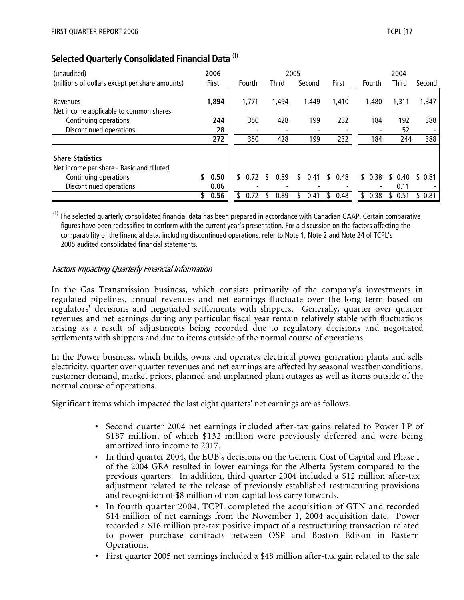| (unaudited)                                                                                                             | 2006               |        |              | 2005 |        |    |       |        | 2004         |        |
|-------------------------------------------------------------------------------------------------------------------------|--------------------|--------|--------------|------|--------|----|-------|--------|--------------|--------|
| (millions of dollars except per share amounts)                                                                          | First              | Fourth | <b>Third</b> |      | Second |    | First | Fourth | <b>Third</b> | Second |
| Revenues<br>Net income applicable to common shares                                                                      | 1,894              | 1,771  | 1,494        |      | 1,449  |    | 1,410 | 1,480  | 1,311        | 1,347  |
| Continuing operations                                                                                                   | 244                | 350    | 428          |      | 199    |    | 232   | 184    | 192          | 388    |
| Discontinued operations                                                                                                 | 28                 |        |              |      |        |    |       |        | 52           |        |
|                                                                                                                         | 272                | 350    | 428          |      | 199    |    | 232   | 184    | 244          | 388    |
| <b>Share Statistics</b><br>Net income per share - Basic and diluted<br>Continuing operations<br>Discontinued operations | \$<br>0.50<br>0.06 | 0.72   | 0.89         |      | 0.41   | ٢. | 0.48  | \$0.38 | 0.40<br>0.11 | \$0.81 |
|                                                                                                                         | 0.56               |        | 0.89         |      | 0.41   |    | 0.48  | 0.38   | 0.51         | 0.81   |

# **Selected Quarterly Consolidated Financial Data** (1)

 $<sup>(1)</sup>$  The selected quarterly consolidated financial data has been prepared in accordance with Canadian GAAP. Certain comparative</sup> figures have been reclassified to conform with the current year's presentation. For a discussion on the factors affecting the comparability of the financial data, including discontinued operations, refer to Note 1, Note 2 and Note 24 of TCPL's 2005 audited consolidated financial statements.

# Factors Impacting Quarterly Financial Information

In the Gas Transmission business, which consists primarily of the company's investments in regulated pipelines, annual revenues and net earnings fluctuate over the long term based on regulators' decisions and negotiated settlements with shippers. Generally, quarter over quarter revenues and net earnings during any particular fiscal year remain relatively stable with fluctuations arising as a result of adjustments being recorded due to regulatory decisions and negotiated settlements with shippers and due to items outside of the normal course of operations.

In the Power business, which builds, owns and operates electrical power generation plants and sells electricity, quarter over quarter revenues and net earnings are affected by seasonal weather conditions, customer demand, market prices, planned and unplanned plant outages as well as items outside of the normal course of operations.

Significant items which impacted the last eight quarters' net earnings are as follows.

- Second quarter 2004 net earnings included after-tax gains related to Power LP of \$187 million, of which \$132 million were previously deferred and were being amortized into income to 2017.
- In third quarter 2004, the EUB's decisions on the Generic Cost of Capital and Phase I of the 2004 GRA resulted in lower earnings for the Alberta System compared to the previous quarters. In addition, third quarter 2004 included a \$12 million after-tax adjustment related to the release of previously established restructuring provisions and recognition of \$8 million of non-capital loss carry forwards.
- In fourth quarter 2004, TCPL completed the acquisition of GTN and recorded \$14 million of net earnings from the November 1, 2004 acquisition date. Power recorded a \$16 million pre-tax positive impact of a restructuring transaction related to power purchase contracts between OSP and Boston Edison in Eastern Operations.
- First quarter 2005 net earnings included a \$48 million after-tax gain related to the sale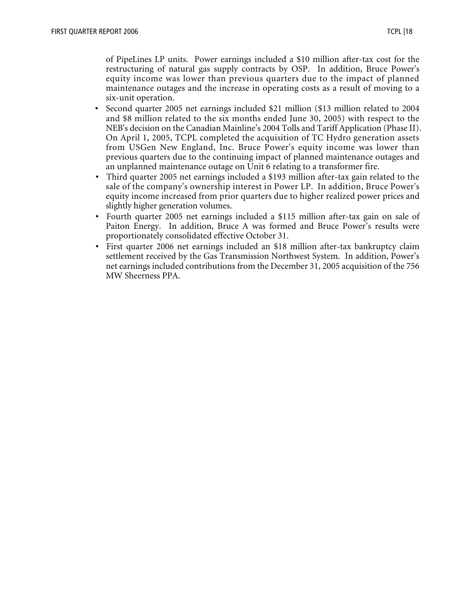of PipeLines LP units. Power earnings included a \$10 million after-tax cost for the restructuring of natural gas supply contracts by OSP. In addition, Bruce Power's equity income was lower than previous quarters due to the impact of planned maintenance outages and the increase in operating costs as a result of moving to a six-unit operation.

- Second quarter 2005 net earnings included \$21 million (\$13 million related to 2004 and \$8 million related to the six months ended June 30, 2005) with respect to the NEB's decision on the Canadian Mainline's 2004 Tolls and Tariff Application (Phase II). On April 1, 2005, TCPL completed the acquisition of TC Hydro generation assets from USGen New England, Inc. Bruce Power's equity income was lower than previous quarters due to the continuing impact of planned maintenance outages and an unplanned maintenance outage on Unit 6 relating to a transformer fire.
- Third quarter 2005 net earnings included a \$193 million after-tax gain related to the sale of the company's ownership interest in Power LP. In addition, Bruce Power's equity income increased from prior quarters due to higher realized power prices and slightly higher generation volumes.
- Fourth quarter 2005 net earnings included a \$115 million after-tax gain on sale of Paiton Energy. In addition, Bruce A was formed and Bruce Power's results were proportionately consolidated effective October 31.
- First quarter 2006 net earnings included an \$18 million after-tax bankruptcy claim settlement received by the Gas Transmission Northwest System. In addition, Power's net earnings included contributions from the December 31, 2005 acquisition of the 756 MW Sheerness PPA.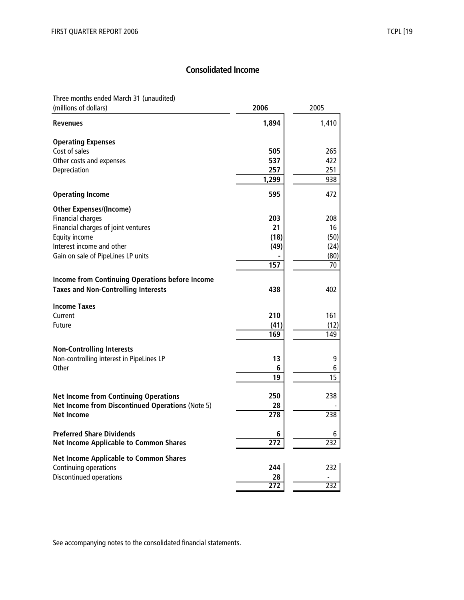# **Consolidated Income**

Three months ended March 31 (unaudited)

| (millions of dollars)                                  | 2006             | 2005            |
|--------------------------------------------------------|------------------|-----------------|
| <b>Revenues</b>                                        | 1,894            | 1,410           |
| <b>Operating Expenses</b>                              |                  |                 |
| Cost of sales                                          | 505              | 265             |
| Other costs and expenses                               | 537              | 422             |
| Depreciation                                           | 257              | 251             |
|                                                        | 1,299            | 938             |
| <b>Operating Income</b>                                | 595              | 472             |
| <b>Other Expenses/(Income)</b>                         |                  |                 |
| <b>Financial charges</b>                               | 203              | 208             |
| Financial charges of joint ventures                    | 21               | 16              |
| Equity income                                          | (18)             | (50)            |
| Interest income and other                              | (49)             | (24)            |
| Gain on sale of PipeLines LP units                     |                  | (80)            |
|                                                        | 157              | 70              |
| <b>Income from Continuing Operations before Income</b> |                  |                 |
| <b>Taxes and Non-Controlling Interests</b>             | 438              | 402             |
| <b>Income Taxes</b>                                    |                  |                 |
| Current                                                | 210              | 161             |
| Future                                                 | (41)             | (12)            |
|                                                        | 169              | 149             |
|                                                        |                  |                 |
| <b>Non-Controlling Interests</b>                       |                  |                 |
| Non-controlling interest in PipeLines LP               | 13               | 9               |
| Other                                                  | 6                | 6               |
|                                                        | 19               | $\overline{15}$ |
| <b>Net Income from Continuing Operations</b>           | 250              | 238             |
| Net Income from Discontinued Operations (Note 5)       | 28               |                 |
| <b>Net Income</b>                                      | $\overline{278}$ | 238             |
| <b>Preferred Share Dividends</b>                       | 6                | 6               |
| <b>Net Income Applicable to Common Shares</b>          | 272              | 232             |
| <b>Net Income Applicable to Common Shares</b>          |                  |                 |
| Continuing operations                                  | 244              | 232             |
| Discontinued operations                                | 28               |                 |
|                                                        | 272              | 232             |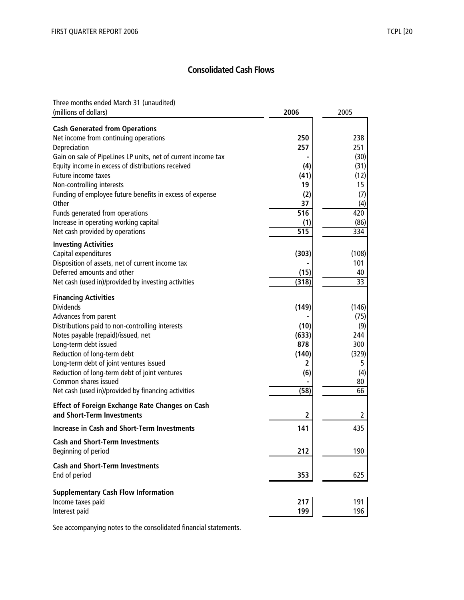# **Consolidated Cash Flows**

Three months ended March 31 (unaudited) (millions of dollars) **2006** 2005

| $\mu$ c iniiius or aoilars                                    | ZUU                     | ∠∪∪   |
|---------------------------------------------------------------|-------------------------|-------|
| <b>Cash Generated from Operations</b>                         |                         |       |
| Net income from continuing operations                         | 250                     | 238   |
| Depreciation                                                  | 257                     | 251   |
| Gain on sale of PipeLines LP units, net of current income tax |                         | (30)  |
| Equity income in excess of distributions received             | (4)                     | (31)  |
| Future income taxes                                           | (41)                    | (12)  |
| Non-controlling interests                                     | 19                      | 15    |
| Funding of employee future benefits in excess of expense      | (2)                     | (7)   |
| Other                                                         | 37                      | (4)   |
|                                                               | 516                     | 420   |
| Funds generated from operations                               |                         |       |
| Increase in operating working capital                         | (1)                     | (86)  |
| Net cash provided by operations                               | 515                     | 334   |
| <b>Investing Activities</b>                                   |                         |       |
| Capital expenditures                                          | (303)                   | (108) |
| Disposition of assets, net of current income tax              |                         | 101   |
| Deferred amounts and other                                    | (15)                    | 40    |
| Net cash (used in)/provided by investing activities           | (318)                   | 33    |
|                                                               |                         |       |
| <b>Financing Activities</b>                                   |                         |       |
| <b>Dividends</b>                                              | (149)                   | (146) |
| Advances from parent                                          |                         | (75)  |
| Distributions paid to non-controlling interests               | (10)                    | (9)   |
| Notes payable (repaid)/issued, net                            | (633)                   | 244   |
| Long-term debt issued                                         | 878                     | 300   |
| Reduction of long-term debt                                   | (140)                   | (329) |
| Long-term debt of joint ventures issued                       | 2                       | 5     |
| Reduction of long-term debt of joint ventures                 | (6)                     | (4)   |
| Common shares issued                                          |                         | 80    |
| Net cash (used in)/provided by financing activities           | (58)                    | 66    |
|                                                               |                         |       |
| <b>Effect of Foreign Exchange Rate Changes on Cash</b>        |                         |       |
| and Short-Term Investments                                    | $\overline{\mathbf{2}}$ | 2     |
| <b>Increase in Cash and Short-Term Investments</b>            | 141                     | 435   |
| <b>Cash and Short-Term Investments</b>                        |                         |       |
| Beginning of period                                           | 212                     | 190   |
|                                                               |                         |       |
| <b>Cash and Short-Term Investments</b>                        |                         |       |
| End of period                                                 | 353                     | 625   |
| <b>Supplementary Cash Flow Information</b>                    |                         |       |
| Income taxes paid                                             | 217                     | 191   |
| Interest paid                                                 | 199                     | 196   |
|                                                               |                         |       |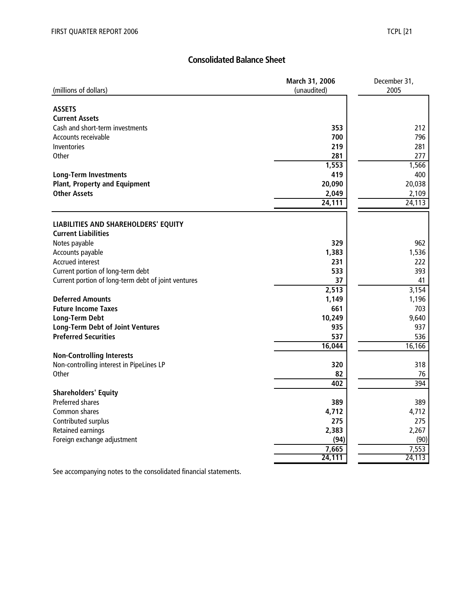# **Consolidated Balance Sheet**

| 2005<br>(millions of dollars)<br>(unaudited)<br><b>ASSETS</b><br><b>Current Assets</b><br>Cash and short-term investments<br>353<br>212<br>Accounts receivable<br>700<br>796<br>Inventories<br>219<br>281<br>277<br>Other<br>281<br>1,553<br>1,566<br>400<br>419<br><b>Long-Term Investments</b><br><b>Plant, Property and Equipment</b><br>20,090<br>20,038<br><b>Other Assets</b><br>2,049<br>2,109<br>24,111<br>24,113<br>LIABILITIES AND SHAREHOLDERS' EQUITY<br><b>Current Liabilities</b><br>Notes payable<br>329<br>962<br>Accounts payable<br>1,383<br>1,536<br><b>Accrued interest</b><br>231<br>222<br>Current portion of long-term debt<br>533<br>393<br>Current portion of long-term debt of joint ventures<br>37<br>41<br>3,154<br>2,513<br><b>Deferred Amounts</b><br>1,149<br>1,196<br><b>Future Income Taxes</b><br>661<br>703<br><b>Long-Term Debt</b><br>10,249<br>9,640<br><b>Long-Term Debt of Joint Ventures</b><br>935<br>937<br><b>Preferred Securities</b><br>537<br>536<br>16,166<br>16,044<br><b>Non-Controlling Interests</b><br>318<br>Non-controlling interest in PipeLines LP<br>320<br>Other<br>82<br>76<br>402<br>394<br><b>Shareholders' Equity</b><br><b>Preferred shares</b><br>389<br>389<br>Common shares<br>4,712<br>4,712<br>275<br>275<br>Contributed surplus<br>2,383<br>Retained earnings<br>2,267<br>Foreign exchange adjustment<br>(94)<br>(90)<br>7,553<br>7,665<br>24,113<br>24,111 | March 31, 2006 | December 31, |  |  |
|-----------------------------------------------------------------------------------------------------------------------------------------------------------------------------------------------------------------------------------------------------------------------------------------------------------------------------------------------------------------------------------------------------------------------------------------------------------------------------------------------------------------------------------------------------------------------------------------------------------------------------------------------------------------------------------------------------------------------------------------------------------------------------------------------------------------------------------------------------------------------------------------------------------------------------------------------------------------------------------------------------------------------------------------------------------------------------------------------------------------------------------------------------------------------------------------------------------------------------------------------------------------------------------------------------------------------------------------------------------------------------------------------------------------------------------|----------------|--------------|--|--|
|                                                                                                                                                                                                                                                                                                                                                                                                                                                                                                                                                                                                                                                                                                                                                                                                                                                                                                                                                                                                                                                                                                                                                                                                                                                                                                                                                                                                                                   |                |              |  |  |
|                                                                                                                                                                                                                                                                                                                                                                                                                                                                                                                                                                                                                                                                                                                                                                                                                                                                                                                                                                                                                                                                                                                                                                                                                                                                                                                                                                                                                                   |                |              |  |  |
|                                                                                                                                                                                                                                                                                                                                                                                                                                                                                                                                                                                                                                                                                                                                                                                                                                                                                                                                                                                                                                                                                                                                                                                                                                                                                                                                                                                                                                   |                |              |  |  |
|                                                                                                                                                                                                                                                                                                                                                                                                                                                                                                                                                                                                                                                                                                                                                                                                                                                                                                                                                                                                                                                                                                                                                                                                                                                                                                                                                                                                                                   |                |              |  |  |
|                                                                                                                                                                                                                                                                                                                                                                                                                                                                                                                                                                                                                                                                                                                                                                                                                                                                                                                                                                                                                                                                                                                                                                                                                                                                                                                                                                                                                                   |                |              |  |  |
|                                                                                                                                                                                                                                                                                                                                                                                                                                                                                                                                                                                                                                                                                                                                                                                                                                                                                                                                                                                                                                                                                                                                                                                                                                                                                                                                                                                                                                   |                |              |  |  |
|                                                                                                                                                                                                                                                                                                                                                                                                                                                                                                                                                                                                                                                                                                                                                                                                                                                                                                                                                                                                                                                                                                                                                                                                                                                                                                                                                                                                                                   |                |              |  |  |
|                                                                                                                                                                                                                                                                                                                                                                                                                                                                                                                                                                                                                                                                                                                                                                                                                                                                                                                                                                                                                                                                                                                                                                                                                                                                                                                                                                                                                                   |                |              |  |  |
|                                                                                                                                                                                                                                                                                                                                                                                                                                                                                                                                                                                                                                                                                                                                                                                                                                                                                                                                                                                                                                                                                                                                                                                                                                                                                                                                                                                                                                   |                |              |  |  |
|                                                                                                                                                                                                                                                                                                                                                                                                                                                                                                                                                                                                                                                                                                                                                                                                                                                                                                                                                                                                                                                                                                                                                                                                                                                                                                                                                                                                                                   |                |              |  |  |
|                                                                                                                                                                                                                                                                                                                                                                                                                                                                                                                                                                                                                                                                                                                                                                                                                                                                                                                                                                                                                                                                                                                                                                                                                                                                                                                                                                                                                                   |                |              |  |  |
|                                                                                                                                                                                                                                                                                                                                                                                                                                                                                                                                                                                                                                                                                                                                                                                                                                                                                                                                                                                                                                                                                                                                                                                                                                                                                                                                                                                                                                   |                |              |  |  |
|                                                                                                                                                                                                                                                                                                                                                                                                                                                                                                                                                                                                                                                                                                                                                                                                                                                                                                                                                                                                                                                                                                                                                                                                                                                                                                                                                                                                                                   |                |              |  |  |
|                                                                                                                                                                                                                                                                                                                                                                                                                                                                                                                                                                                                                                                                                                                                                                                                                                                                                                                                                                                                                                                                                                                                                                                                                                                                                                                                                                                                                                   |                |              |  |  |
|                                                                                                                                                                                                                                                                                                                                                                                                                                                                                                                                                                                                                                                                                                                                                                                                                                                                                                                                                                                                                                                                                                                                                                                                                                                                                                                                                                                                                                   |                |              |  |  |
|                                                                                                                                                                                                                                                                                                                                                                                                                                                                                                                                                                                                                                                                                                                                                                                                                                                                                                                                                                                                                                                                                                                                                                                                                                                                                                                                                                                                                                   |                |              |  |  |
|                                                                                                                                                                                                                                                                                                                                                                                                                                                                                                                                                                                                                                                                                                                                                                                                                                                                                                                                                                                                                                                                                                                                                                                                                                                                                                                                                                                                                                   |                |              |  |  |
|                                                                                                                                                                                                                                                                                                                                                                                                                                                                                                                                                                                                                                                                                                                                                                                                                                                                                                                                                                                                                                                                                                                                                                                                                                                                                                                                                                                                                                   |                |              |  |  |
|                                                                                                                                                                                                                                                                                                                                                                                                                                                                                                                                                                                                                                                                                                                                                                                                                                                                                                                                                                                                                                                                                                                                                                                                                                                                                                                                                                                                                                   |                |              |  |  |
|                                                                                                                                                                                                                                                                                                                                                                                                                                                                                                                                                                                                                                                                                                                                                                                                                                                                                                                                                                                                                                                                                                                                                                                                                                                                                                                                                                                                                                   |                |              |  |  |
|                                                                                                                                                                                                                                                                                                                                                                                                                                                                                                                                                                                                                                                                                                                                                                                                                                                                                                                                                                                                                                                                                                                                                                                                                                                                                                                                                                                                                                   |                |              |  |  |
|                                                                                                                                                                                                                                                                                                                                                                                                                                                                                                                                                                                                                                                                                                                                                                                                                                                                                                                                                                                                                                                                                                                                                                                                                                                                                                                                                                                                                                   |                |              |  |  |
|                                                                                                                                                                                                                                                                                                                                                                                                                                                                                                                                                                                                                                                                                                                                                                                                                                                                                                                                                                                                                                                                                                                                                                                                                                                                                                                                                                                                                                   |                |              |  |  |
|                                                                                                                                                                                                                                                                                                                                                                                                                                                                                                                                                                                                                                                                                                                                                                                                                                                                                                                                                                                                                                                                                                                                                                                                                                                                                                                                                                                                                                   |                |              |  |  |
|                                                                                                                                                                                                                                                                                                                                                                                                                                                                                                                                                                                                                                                                                                                                                                                                                                                                                                                                                                                                                                                                                                                                                                                                                                                                                                                                                                                                                                   |                |              |  |  |
|                                                                                                                                                                                                                                                                                                                                                                                                                                                                                                                                                                                                                                                                                                                                                                                                                                                                                                                                                                                                                                                                                                                                                                                                                                                                                                                                                                                                                                   |                |              |  |  |
|                                                                                                                                                                                                                                                                                                                                                                                                                                                                                                                                                                                                                                                                                                                                                                                                                                                                                                                                                                                                                                                                                                                                                                                                                                                                                                                                                                                                                                   |                |              |  |  |
|                                                                                                                                                                                                                                                                                                                                                                                                                                                                                                                                                                                                                                                                                                                                                                                                                                                                                                                                                                                                                                                                                                                                                                                                                                                                                                                                                                                                                                   |                |              |  |  |
|                                                                                                                                                                                                                                                                                                                                                                                                                                                                                                                                                                                                                                                                                                                                                                                                                                                                                                                                                                                                                                                                                                                                                                                                                                                                                                                                                                                                                                   |                |              |  |  |
|                                                                                                                                                                                                                                                                                                                                                                                                                                                                                                                                                                                                                                                                                                                                                                                                                                                                                                                                                                                                                                                                                                                                                                                                                                                                                                                                                                                                                                   |                |              |  |  |
|                                                                                                                                                                                                                                                                                                                                                                                                                                                                                                                                                                                                                                                                                                                                                                                                                                                                                                                                                                                                                                                                                                                                                                                                                                                                                                                                                                                                                                   |                |              |  |  |
|                                                                                                                                                                                                                                                                                                                                                                                                                                                                                                                                                                                                                                                                                                                                                                                                                                                                                                                                                                                                                                                                                                                                                                                                                                                                                                                                                                                                                                   |                |              |  |  |
|                                                                                                                                                                                                                                                                                                                                                                                                                                                                                                                                                                                                                                                                                                                                                                                                                                                                                                                                                                                                                                                                                                                                                                                                                                                                                                                                                                                                                                   |                |              |  |  |
|                                                                                                                                                                                                                                                                                                                                                                                                                                                                                                                                                                                                                                                                                                                                                                                                                                                                                                                                                                                                                                                                                                                                                                                                                                                                                                                                                                                                                                   |                |              |  |  |
|                                                                                                                                                                                                                                                                                                                                                                                                                                                                                                                                                                                                                                                                                                                                                                                                                                                                                                                                                                                                                                                                                                                                                                                                                                                                                                                                                                                                                                   |                |              |  |  |
|                                                                                                                                                                                                                                                                                                                                                                                                                                                                                                                                                                                                                                                                                                                                                                                                                                                                                                                                                                                                                                                                                                                                                                                                                                                                                                                                                                                                                                   |                |              |  |  |
|                                                                                                                                                                                                                                                                                                                                                                                                                                                                                                                                                                                                                                                                                                                                                                                                                                                                                                                                                                                                                                                                                                                                                                                                                                                                                                                                                                                                                                   |                |              |  |  |
|                                                                                                                                                                                                                                                                                                                                                                                                                                                                                                                                                                                                                                                                                                                                                                                                                                                                                                                                                                                                                                                                                                                                                                                                                                                                                                                                                                                                                                   |                |              |  |  |
|                                                                                                                                                                                                                                                                                                                                                                                                                                                                                                                                                                                                                                                                                                                                                                                                                                                                                                                                                                                                                                                                                                                                                                                                                                                                                                                                                                                                                                   |                |              |  |  |
|                                                                                                                                                                                                                                                                                                                                                                                                                                                                                                                                                                                                                                                                                                                                                                                                                                                                                                                                                                                                                                                                                                                                                                                                                                                                                                                                                                                                                                   |                |              |  |  |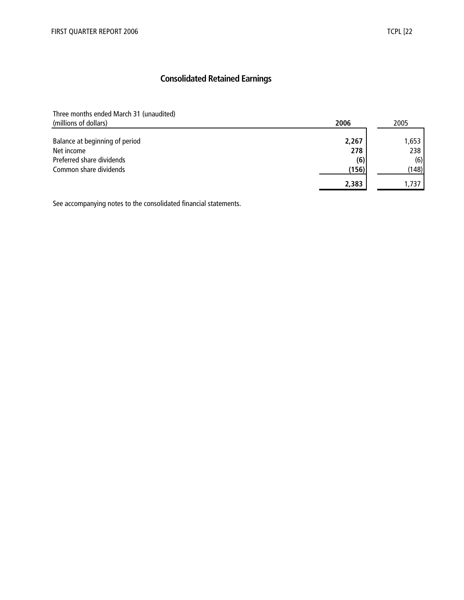# **Consolidated Retained Earnings**

Three months ended March 31 (unaudited)

| (millions of dollars)          | 2006  | 2005  |
|--------------------------------|-------|-------|
|                                |       |       |
| Balance at beginning of period | 2,267 | 1,653 |
| Net income                     | 278   | 238   |
| Preferred share dividends      | (6)   | (6)   |
| Common share dividends         | (156) | (148) |
|                                | 2,383 | 1.737 |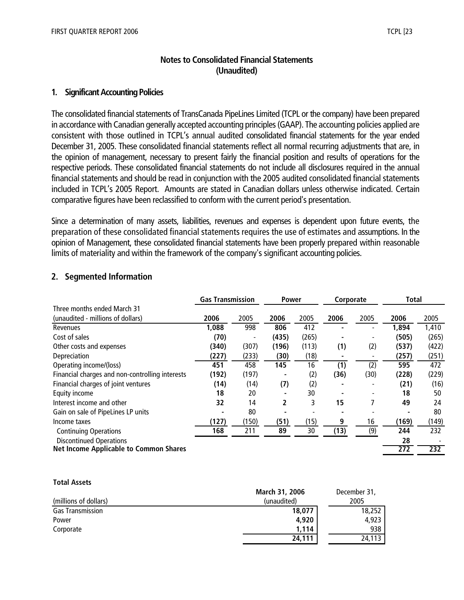# **Notes to Consolidated Financial Statements (Unaudited)**

## **1. Significant Accounting Policies**

The consolidated financial statements of TransCanada PipeLines Limited (TCPL or the company) have been prepared in accordance with Canadian generally accepted accounting principles (GAAP). The accounting policies applied are consistent with those outlined in TCPL's annual audited consolidated financial statements for the year ended December 31, 2005. These consolidated financial statements reflect all normal recurring adjustments that are, in the opinion of management, necessary to present fairly the financial position and results of operations for the respective periods. These consolidated financial statements do not include all disclosures required in the annual financial statements and should be read in conjunction with the 2005 audited consolidated financial statements included in TCPL's 2005 Report. Amounts are stated in Canadian dollars unless otherwise indicated. Certain comparative figures have been reclassified to conform with the current period's presentation.

Since a determination of many assets, liabilities, revenues and expenses is dependent upon future events, the preparation of these consolidated financial statements requires the use of estimates and assumptions. In the opinion of Management, these consolidated financial statements have been properly prepared within reasonable limits of materiality and within the framework of the company's significant accounting policies.

# **2. Segmented Information**

|                                                 | <b>Gas Transmission</b> |       | <b>Power</b> |       | Corporate |      | <b>Total</b> |       |
|-------------------------------------------------|-------------------------|-------|--------------|-------|-----------|------|--------------|-------|
| Three months ended March 31                     |                         |       |              |       |           |      |              |       |
| (unaudited - millions of dollars)               | 2006                    | 2005  | 2006         | 2005  | 2006      | 2005 | 2006         | 2005  |
| Revenues                                        | 1,088                   | 998   | 806          | 412   |           |      | 1,894        | 1,410 |
| Cost of sales                                   | (70)                    |       | (435)        | (265) |           |      | (505)        | (265) |
| Other costs and expenses                        | (340)                   | (307) | (196)        | (113) | (1)       | (2)  | (537)        | (422) |
| Depreciation                                    | (227)                   | (233) | (30)         | (18)  |           |      | (257)        | (251) |
| Operating income/(loss)                         | 451                     | 458   | 145          | 16    | (1)       | (2)  | 595          | 472   |
| Financial charges and non-controlling interests | (192)                   | (197) |              | (2)   | (36)      | (30) | (228)        | (229) |
| Financial charges of joint ventures             | (14)                    | (14)  | (7)          | (2)   |           |      | (21)         | (16)  |
| Equity income                                   | 18                      | 20    |              | 30    |           |      | 18           | 50    |
| Interest income and other                       | 32                      | 14    | 2            | 3     | 15        |      | 49           | 24    |
| Gain on sale of PipeLines LP units              |                         | 80    |              |       |           |      |              | 80    |
| Income taxes                                    | (127)                   | (150) | (51)         | (15)  | 9         | 16   | (169)        | (149) |
| <b>Continuing Operations</b>                    | 168                     | 211   | 89           | 30    | (13)      | (9)  | 244          | 232   |
| <b>Discontinued Operations</b>                  |                         |       |              |       |           |      | 28           |       |
| <b>Net Income Applicable to Common Shares</b>   |                         |       |              |       |           |      | 272          | 232   |

#### **Total Assets**

|                         | <b>March 31, 2006</b> | December 31, |
|-------------------------|-----------------------|--------------|
| (millions of dollars)   | (unaudited)           | 2005         |
| <b>Gas Transmission</b> | 18,077                | 18,252       |
| Power                   | 4,920                 | 4,923        |
| Corporate               | 1.114                 | 938          |
|                         | 24,111                | 24,113       |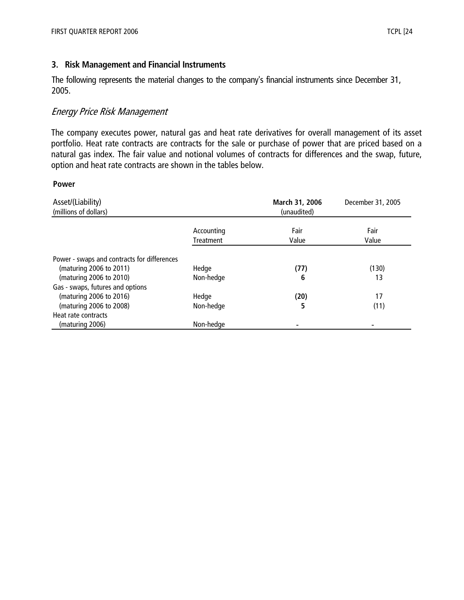# **3. Risk Management and Financial Instruments**

The following represents the material changes to the company's financial instruments since December 31, 2005.

# Energy Price Risk Management

The company executes power, natural gas and heat rate derivatives for overall management of its asset portfolio. Heat rate contracts are contracts for the sale or purchase of power that are priced based on a natural gas index. The fair value and notional volumes of contracts for differences and the swap, future, option and heat rate contracts are shown in the tables below.

#### **Power**

| Asset/(Liability)<br>(millions of dollars)  |                                | March 31, 2006<br>(unaudited) | December 31, 2005 |
|---------------------------------------------|--------------------------------|-------------------------------|-------------------|
|                                             | Accounting<br><b>Treatment</b> | Fair<br>Value                 | Fair<br>Value     |
| Power - swaps and contracts for differences |                                |                               |                   |
| (maturing 2006 to 2011)                     | Hedge                          | (77)                          | (130)             |
| (maturing 2006 to 2010)                     | Non-hedge                      | 6                             | 13                |
| Gas - swaps, futures and options            |                                |                               |                   |
| (maturing 2006 to 2016)                     | Hedge                          | (20)                          | 17                |
| (maturing 2006 to 2008)                     | Non-hedge                      | 5                             | (11)              |
| Heat rate contracts                         |                                |                               |                   |
| (maturing 2006)                             | Non-hedge                      |                               |                   |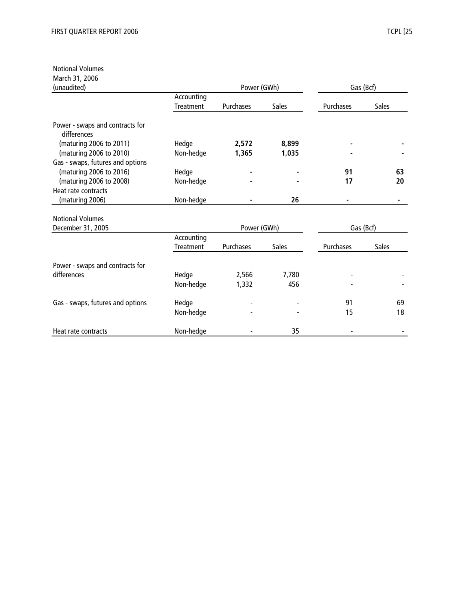#### Notional Volumes

March 31, 2006

| (unaudited)                                    |                         | Power (GWh) |              | Gas (Bcf) |              |  |
|------------------------------------------------|-------------------------|-------------|--------------|-----------|--------------|--|
|                                                | Accounting<br>Treatment | Purchases   | <b>Sales</b> | Purchases | Sales        |  |
| Power - swaps and contracts for<br>differences |                         |             |              |           |              |  |
| (maturing 2006 to 2011)                        | Hedge                   | 2,572       | 8,899        |           |              |  |
| (maturing 2006 to 2010)                        | Non-hedge               | 1,365       | 1,035        |           |              |  |
| Gas - swaps, futures and options               |                         |             |              |           |              |  |
| (maturing 2006 to 2016)                        | Hedge                   |             |              | 91        | 63           |  |
| (maturing 2006 to 2008)                        | Non-hedge               |             |              | 17        | 20           |  |
| Heat rate contracts                            |                         |             |              |           |              |  |
| (maturing 2006)                                | Non-hedge               |             | 26           |           |              |  |
| <b>Notional Volumes</b>                        |                         |             |              |           |              |  |
| December 31, 2005                              |                         | Power (GWh) |              |           | Gas (Bcf)    |  |
|                                                | Accounting              |             |              |           |              |  |
|                                                | Treatment               | Purchases   | <b>Sales</b> | Purchases | <b>Sales</b> |  |
| Power - swaps and contracts for                |                         |             |              |           |              |  |
| differences                                    | Hedge                   | 2,566       | 7,780        |           |              |  |
|                                                | Non-hedge               | 1,332       | 456          |           |              |  |
| Gas - swaps, futures and options               | Hedge                   |             |              | 91        | 69           |  |
|                                                | Non-hedge               |             |              | 15        | 18           |  |
| Heat rate contracts                            | Non-hedge               |             | 35           |           |              |  |